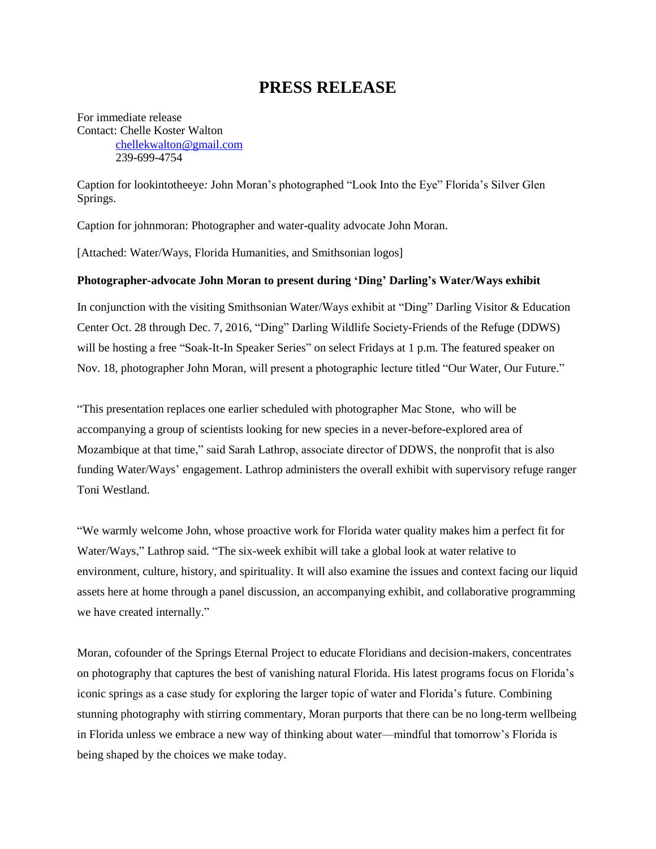## **PRESS RELEASE**

For immediate release Contact: Chelle Koster Walton [chellekwalton@gmail.com](mailto:chellekwalton@gmail.com) 239-699-4754

Caption for lookintotheeye*:* John Moran's photographed "Look Into the Eye" Florida's Silver Glen Springs.

Caption for johnmoran: Photographer and water-quality advocate John Moran.

[Attached: Water/Ways, Florida Humanities, and Smithsonian logos]

## **Photographer-advocate John Moran to present during 'Ding' Darling's Water/Ways exhibit**

In conjunction with the visiting Smithsonian Water/Ways exhibit at "Ding" Darling Visitor & Education Center Oct. 28 through Dec. 7, 2016, "Ding" Darling Wildlife Society-Friends of the Refuge (DDWS) will be hosting a free "Soak-It-In Speaker Series" on select Fridays at 1 p.m. The featured speaker on Nov. 18, photographer John Moran, will present a photographic lecture titled "Our Water, Our Future."

"This presentation replaces one earlier scheduled with photographer Mac Stone, who will be accompanying a group of scientists looking for new species in a never-before-explored area of Mozambique at that time," said Sarah Lathrop, associate director of DDWS, the nonprofit that is also funding Water/Ways' engagement. Lathrop administers the overall exhibit with supervisory refuge ranger Toni Westland.

"We warmly welcome John, whose proactive work for Florida water quality makes him a perfect fit for Water/Ways," Lathrop said. "The six-week exhibit will take a global look at water relative to environment, culture, history, and spirituality. It will also examine the issues and context facing our liquid assets here at home through a panel discussion, an accompanying exhibit, and collaborative programming we have created internally."

Moran, cofounder of the Springs Eternal Project to educate Floridians and decision-makers, concentrates on photography that captures the best of vanishing natural Florida. His latest programs focus on Florida's iconic springs as a case study for exploring the larger topic of water and Florida's future. Combining stunning photography with stirring commentary, Moran purports that there can be no long-term wellbeing in Florida unless we embrace a new way of thinking about water—mindful that tomorrow's Florida is being shaped by the choices we make today.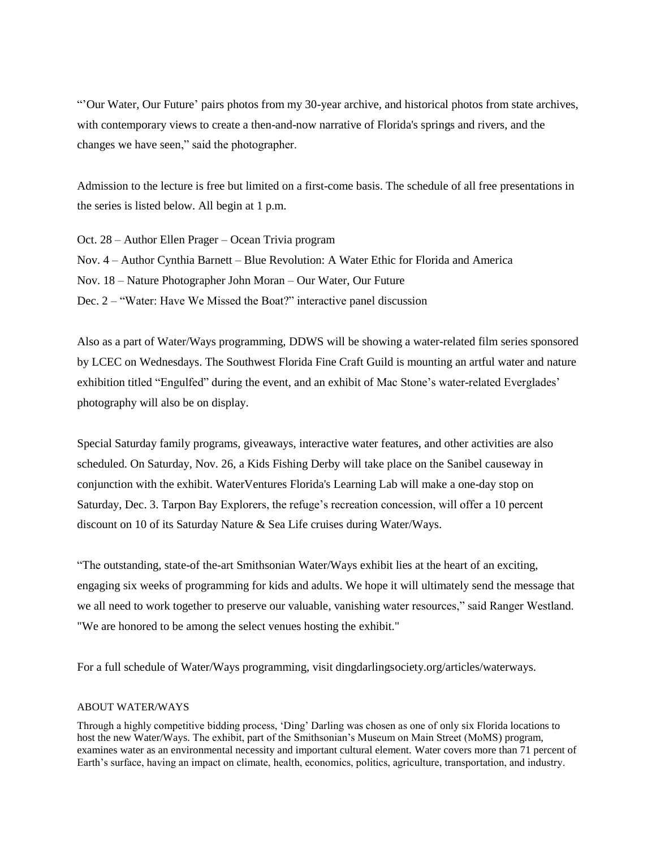"'Our Water, Our Future' pairs photos from my 30-year archive, and historical photos from state archives, with contemporary views to create a then-and-now narrative of Florida's springs and rivers, and the changes we have seen," said the photographer.

Admission to the lecture is free but limited on a first-come basis. The schedule of all free presentations in the series is listed below. All begin at 1 p.m.

Oct. 28 – Author Ellen Prager – Ocean Trivia program Nov. 4 – Author Cynthia Barnett – Blue Revolution: A Water Ethic for Florida and America Nov. 18 – Nature Photographer John Moran – Our Water, Our Future Dec. 2 – "Water: Have We Missed the Boat?" interactive panel discussion

Also as a part of Water/Ways programming, DDWS will be showing a water-related film series sponsored by LCEC on Wednesdays. The Southwest Florida Fine Craft Guild is mounting an artful water and nature exhibition titled "Engulfed" during the event, and an exhibit of Mac Stone's water-related Everglades' photography will also be on display.

Special Saturday family programs, giveaways, interactive water features, and other activities are also scheduled. On Saturday, Nov. 26, a Kids Fishing Derby will take place on the Sanibel causeway in conjunction with the exhibit. WaterVentures Florida's Learning Lab will make a one-day stop on Saturday, Dec. 3. Tarpon Bay Explorers, the refuge's recreation concession, will offer a 10 percent discount on 10 of its Saturday Nature & Sea Life cruises during Water/Ways.

"The outstanding, state-of the-art Smithsonian Water/Ways exhibit lies at the heart of an exciting, engaging six weeks of programming for kids and adults. We hope it will ultimately send the message that we all need to work together to preserve our valuable, vanishing water resources," said Ranger Westland. "We are honored to be among the select venues hosting the exhibit."

For a full schedule of Water/Ways programming, visit dingdarlingsociety.org/articles/waterways.

## ABOUT WATER/WAYS

Through a highly competitive bidding process, 'Ding' Darling was chosen as one of only six Florida locations to host the new Water/Ways. The exhibit, part of the Smithsonian's Museum on Main Street (MoMS) program, examines water as an environmental necessity and important cultural element. Water covers more than 71 percent of Earth's surface, having an impact on climate, health, economics, politics, agriculture, transportation, and industry.